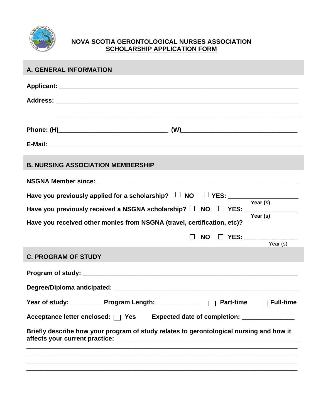

## **NOVA SCOTIA GERONTOLOGICAL NURSES ASSOCIATION SCHOLARSHIP APPLICATION FORM**

| <b>A. GENERAL INFORMATION</b>                                                                                   |  |  |  |  |
|-----------------------------------------------------------------------------------------------------------------|--|--|--|--|
|                                                                                                                 |  |  |  |  |
|                                                                                                                 |  |  |  |  |
| ,我们也不能在这里的时候,我们也不能在这里的时候,我们也不能在这里的时候,我们也不能会不能在这里的时候,我们也不能会不能会不能会不能会不能会不能会不能会不能会不                                |  |  |  |  |
|                                                                                                                 |  |  |  |  |
|                                                                                                                 |  |  |  |  |
| <b>B. NURSING ASSOCIATION MEMBERSHIP</b>                                                                        |  |  |  |  |
|                                                                                                                 |  |  |  |  |
| Have you previously applied for a scholarship? $\Box$ NO $\Box$ YES: $\frac{\Box}{\Box}$ Year (s)               |  |  |  |  |
| Have you previously received a NSGNA scholarship? $\square$ NO $\square$ YES: $\overline{\phantom{0}}$ Year (s) |  |  |  |  |
| Have you received other monies from NSGNA (travel, certification, etc)?                                         |  |  |  |  |
| NO □ YES: __________<br>$\Box$<br>Year $(s)$                                                                    |  |  |  |  |
| <b>C. PROGRAM OF STUDY</b>                                                                                      |  |  |  |  |
|                                                                                                                 |  |  |  |  |
|                                                                                                                 |  |  |  |  |
| Year of study: _____________ Program Length: _____________<br><b>Part-time</b><br><b>Full-time</b>              |  |  |  |  |
| Acceptance letter enclosed: □ Yes<br>Expected date of completion: ________________                              |  |  |  |  |
| Briefly describe how your program of study relates to gerontological nursing and how it                         |  |  |  |  |
|                                                                                                                 |  |  |  |  |
|                                                                                                                 |  |  |  |  |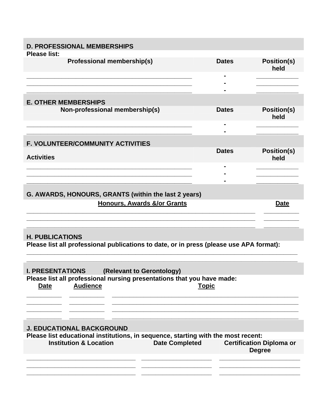| <b>D. PROFESSIONAL MEMBERSHIPS</b>                                                                                                                                                 |                |                            |  |  |  |
|------------------------------------------------------------------------------------------------------------------------------------------------------------------------------------|----------------|----------------------------|--|--|--|
| <b>Please list:</b>                                                                                                                                                                |                |                            |  |  |  |
| <b>Professional membership(s)</b>                                                                                                                                                  | <b>Dates</b>   | <b>Position(s)</b><br>held |  |  |  |
|                                                                                                                                                                                    |                |                            |  |  |  |
|                                                                                                                                                                                    |                |                            |  |  |  |
|                                                                                                                                                                                    |                |                            |  |  |  |
| <b>E. OTHER MEMBERSHIPS</b>                                                                                                                                                        |                |                            |  |  |  |
| Non-professional membership(s)                                                                                                                                                     | <b>Dates</b>   | <b>Position(s)</b><br>held |  |  |  |
|                                                                                                                                                                                    | $\blacksquare$ |                            |  |  |  |
|                                                                                                                                                                                    |                |                            |  |  |  |
| F. VOLUNTEER/COMMUNITY ACTIVITIES                                                                                                                                                  |                |                            |  |  |  |
| <b>Activities</b>                                                                                                                                                                  | <b>Dates</b>   | <b>Position(s)</b><br>held |  |  |  |
|                                                                                                                                                                                    |                |                            |  |  |  |
|                                                                                                                                                                                    |                |                            |  |  |  |
|                                                                                                                                                                                    |                |                            |  |  |  |
| G. AWARDS, HONOURS, GRANTS (within the last 2 years)                                                                                                                               |                |                            |  |  |  |
| Honours, Awards &/or Grants                                                                                                                                                        |                | <b>Date</b>                |  |  |  |
|                                                                                                                                                                                    |                |                            |  |  |  |
|                                                                                                                                                                                    |                |                            |  |  |  |
|                                                                                                                                                                                    |                |                            |  |  |  |
| <b>H. PUBLICATIONS</b><br>Please list all professional publications to date, or in press (please use APA format):                                                                  |                |                            |  |  |  |
|                                                                                                                                                                                    |                |                            |  |  |  |
|                                                                                                                                                                                    |                |                            |  |  |  |
|                                                                                                                                                                                    |                |                            |  |  |  |
| <b>I. PRESENTATIONS</b><br>(Relevant to Gerontology)                                                                                                                               |                |                            |  |  |  |
| Please list all professional nursing presentations that you have made:                                                                                                             |                |                            |  |  |  |
| <b>Audience</b><br><b>Date</b>                                                                                                                                                     | <b>Topic</b>   |                            |  |  |  |
|                                                                                                                                                                                    |                |                            |  |  |  |
|                                                                                                                                                                                    |                |                            |  |  |  |
|                                                                                                                                                                                    |                |                            |  |  |  |
|                                                                                                                                                                                    |                |                            |  |  |  |
| <b>J. EDUCATIONAL BACKGROUND</b>                                                                                                                                                   |                |                            |  |  |  |
| Please list educational institutions, in sequence, starting with the most recent:<br><b>Institution &amp; Location</b><br><b>Date Completed</b><br><b>Certification Diploma or</b> |                |                            |  |  |  |
|                                                                                                                                                                                    |                | <b>Degree</b>              |  |  |  |
|                                                                                                                                                                                    |                |                            |  |  |  |
|                                                                                                                                                                                    |                |                            |  |  |  |
|                                                                                                                                                                                    |                |                            |  |  |  |
|                                                                                                                                                                                    |                |                            |  |  |  |